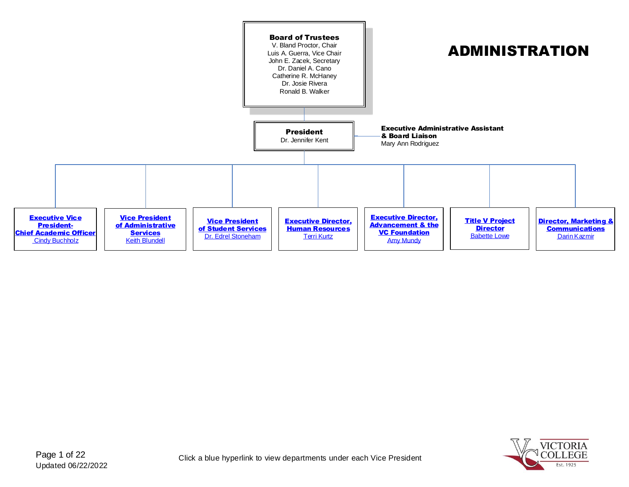<span id="page-0-0"></span>

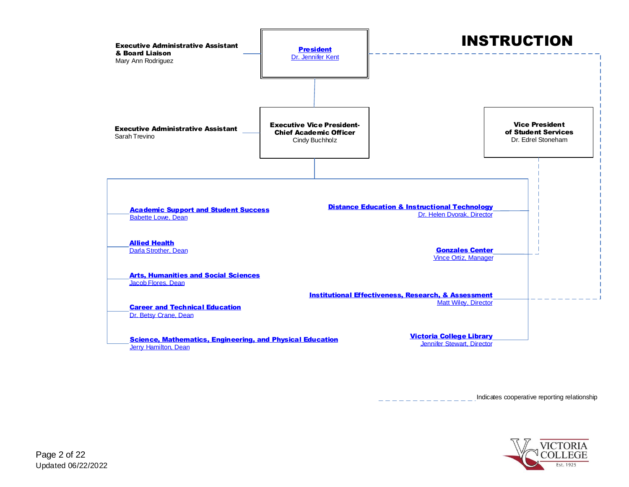<span id="page-1-0"></span>

Indicates cooperative reporting relationship

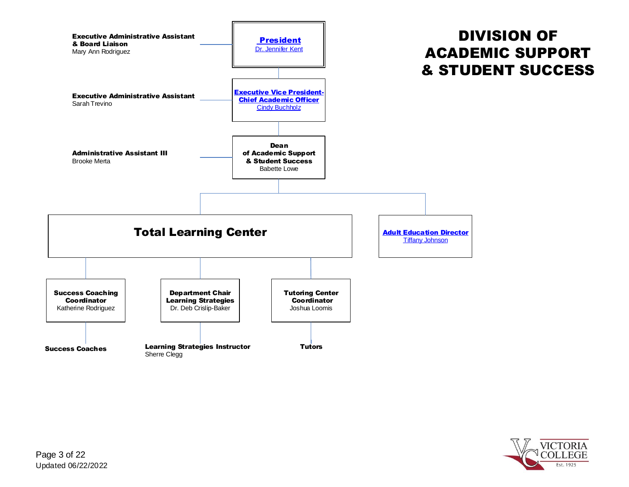<span id="page-2-0"></span>

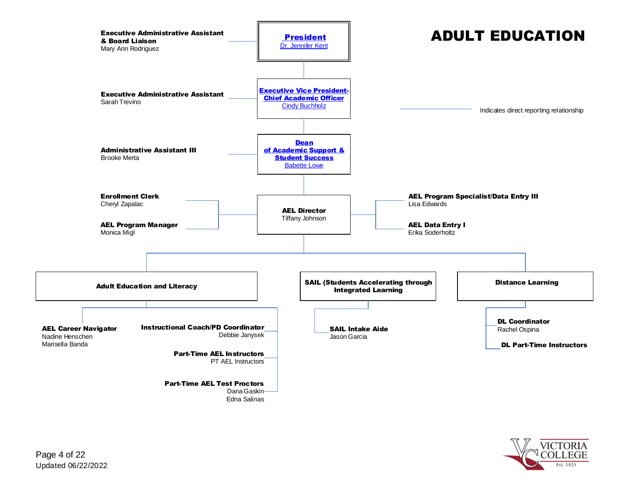<span id="page-3-0"></span>

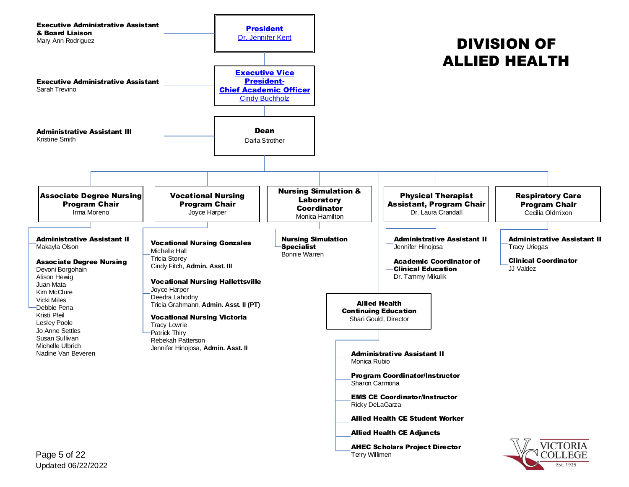<span id="page-4-0"></span>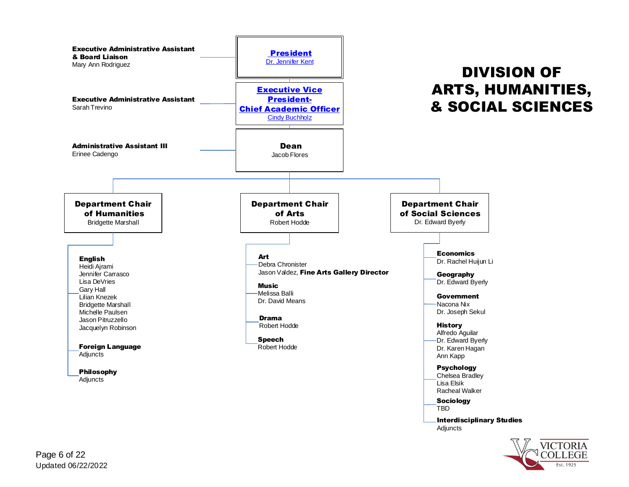<span id="page-5-0"></span>

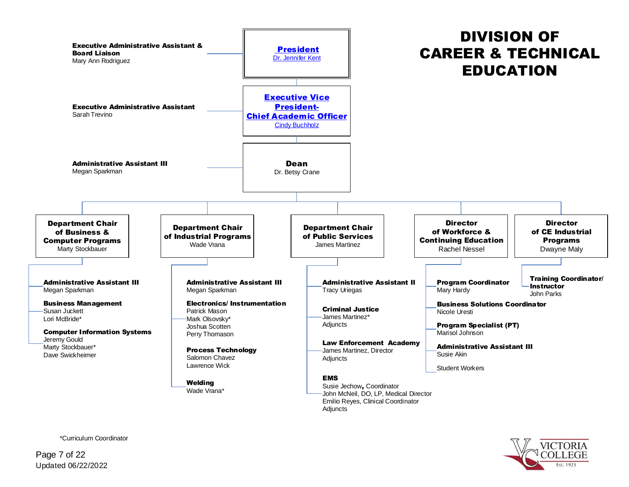<span id="page-6-0"></span>

\*Curriculum Coordinator

Updated 06/22/2022 Page 7 of 22

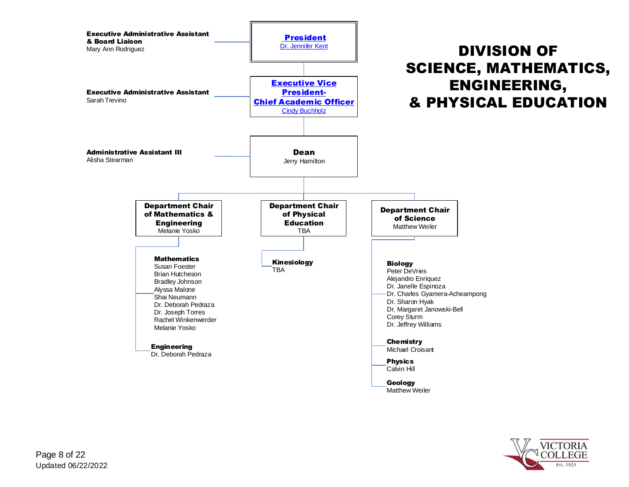<span id="page-7-0"></span>

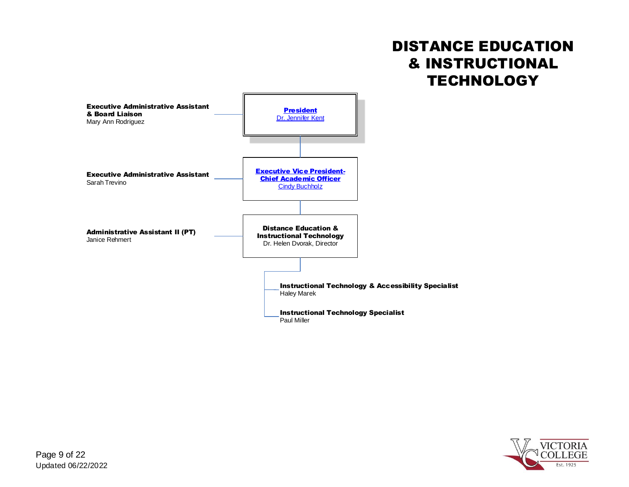## DISTANCE EDUCATION & INSTRUCTIONAL **TECHNOLOGY**

<span id="page-8-0"></span>

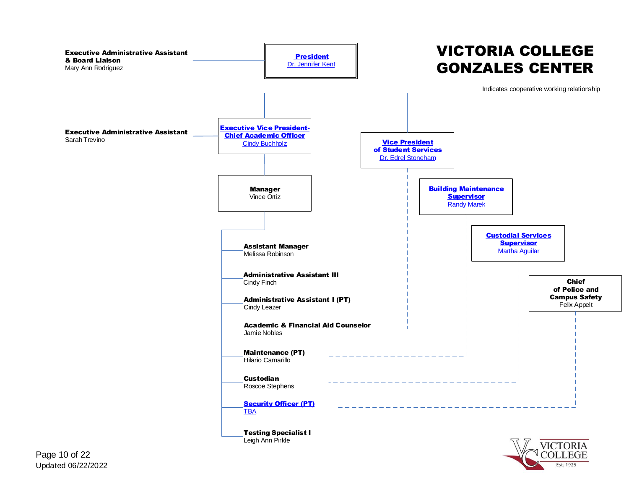<span id="page-9-0"></span>

Est. 1925

Updated 06/22/2022 Page 10 of 22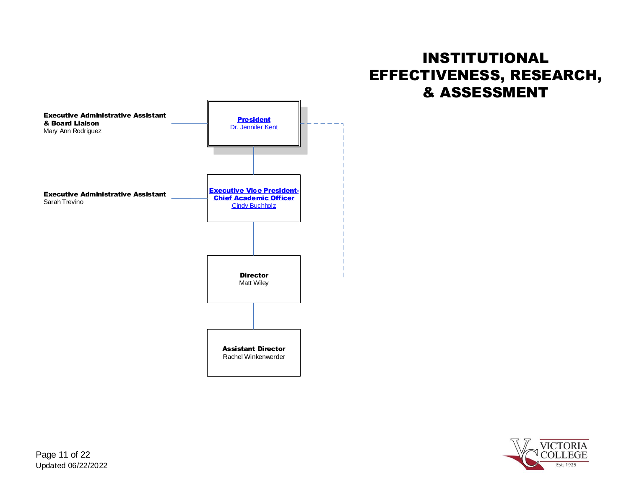## INSTITUTIONAL EFFECTIVENESS, RESEARCH, & ASSESSMENT

<span id="page-10-0"></span>

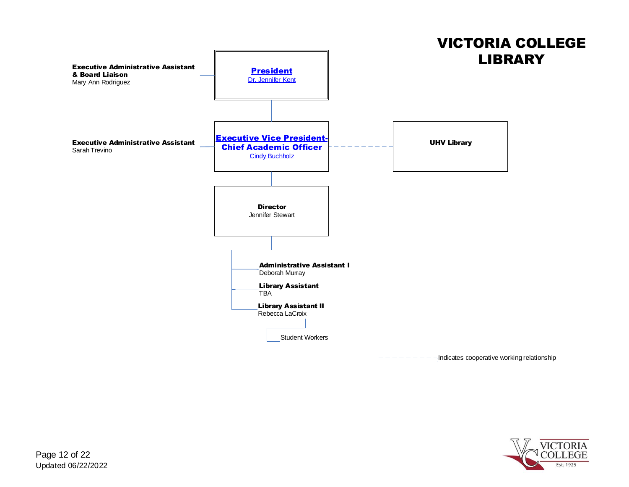<span id="page-11-0"></span>

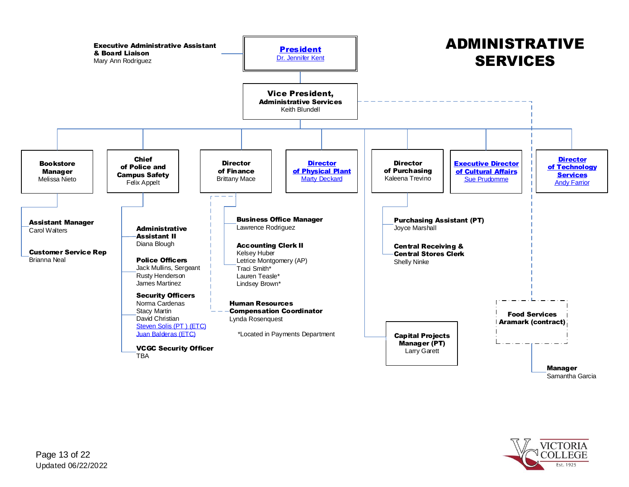<span id="page-12-0"></span>

Est. 1925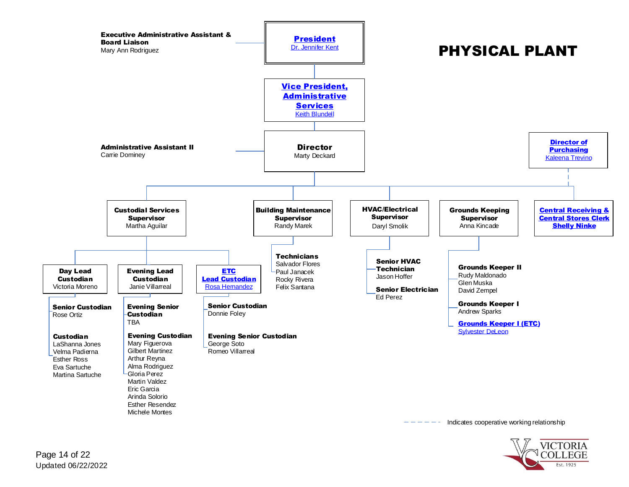<span id="page-13-0"></span>

Indicates cooperative working relationship

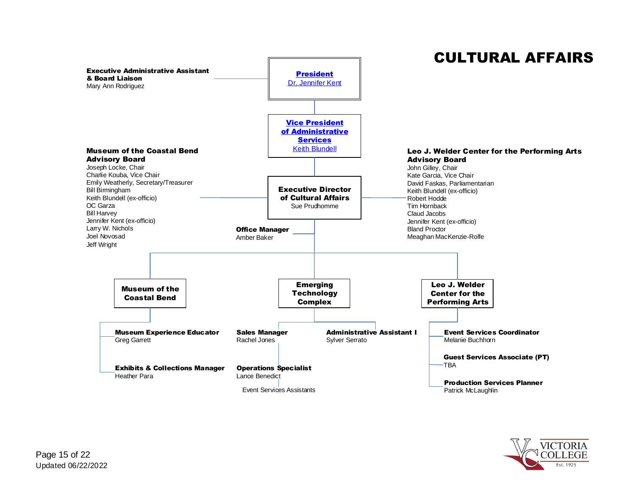<span id="page-14-0"></span>

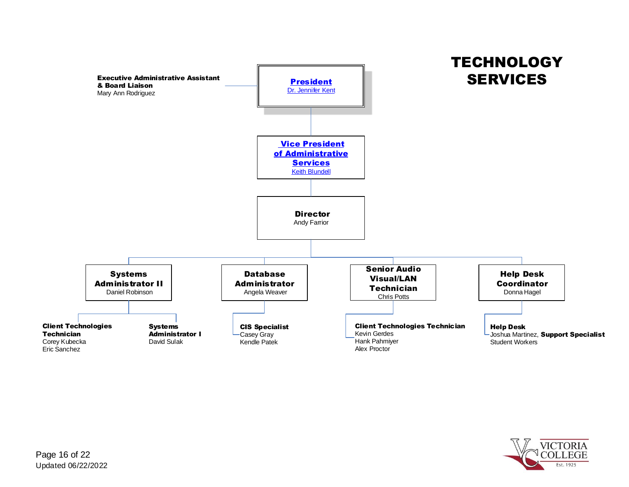<span id="page-15-0"></span>

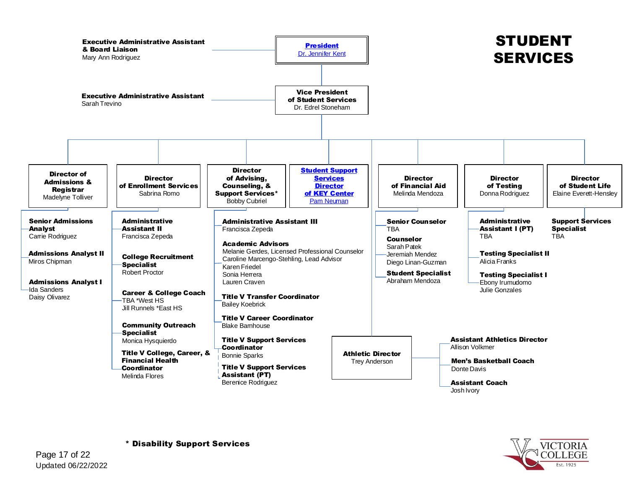<span id="page-16-0"></span>

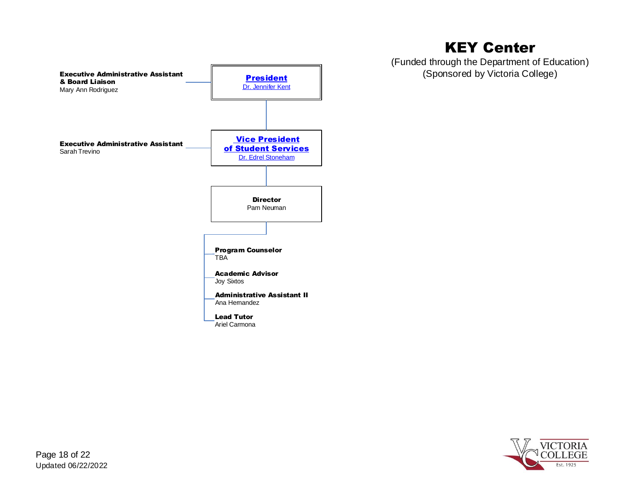<span id="page-17-0"></span>

## KEY Center

(Funded through the Department of Education) (Sponsored by Victoria College)

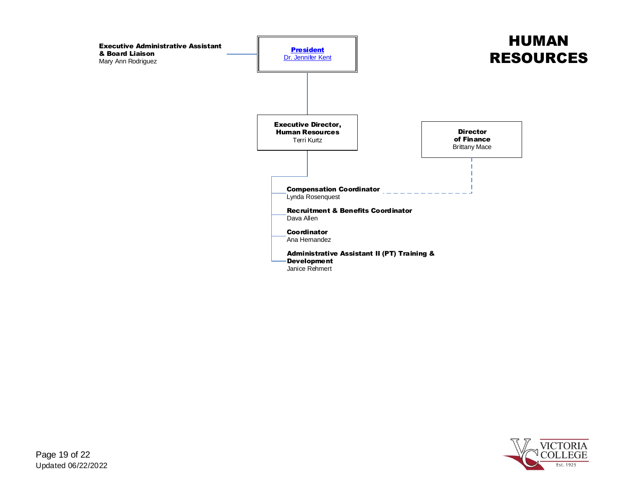<span id="page-18-0"></span>

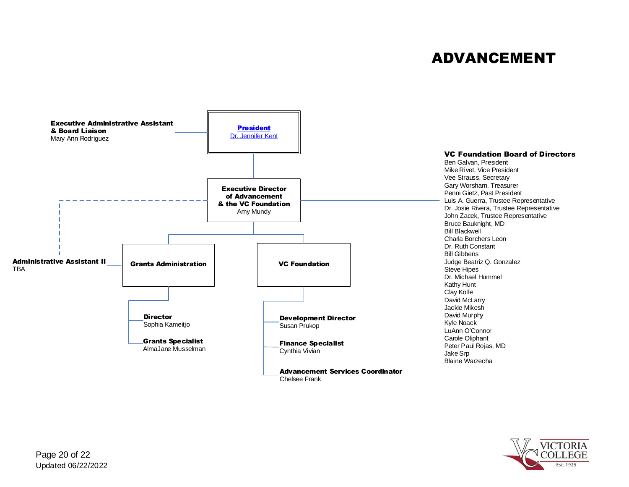## ADVANCEMENT

<span id="page-19-0"></span>

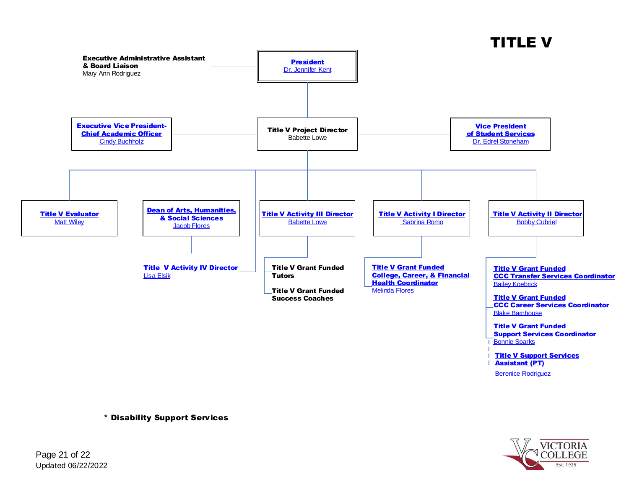

<span id="page-20-0"></span>

\* Disability Support Services

**VICTORIA** Est. 1925

**Berenice Rodriguez** 

Updated 06/22/2022 Page 21 of 22